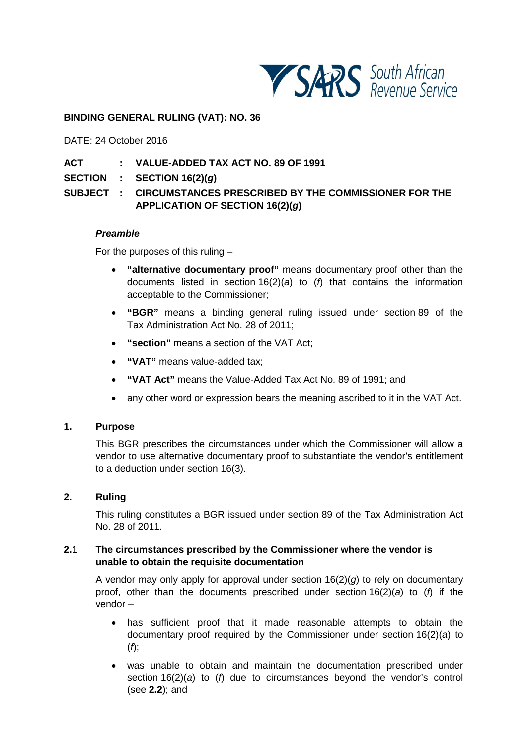

#### **BINDING GENERAL RULING (VAT): NO. 36**

DATE: 24 October 2016

## **ACT : VALUE-ADDED TAX ACT NO. 89 OF 1991**

**SECTION : SECTION 16(2)(***g***)**

**SUBJECT : CIRCUMSTANCES PRESCRIBED BY THE COMMISSIONER FOR THE APPLICATION OF SECTION 16(2)(***g***)**

#### *Preamble*

For the purposes of this ruling –

- **"alternative documentary proof"** means documentary proof other than the documents listed in section 16(2)(*a*) to (*f*) that contains the information acceptable to the Commissioner;
- **"BGR"** means a binding general ruling issued under section 89 of the Tax Administration Act No. 28 of 2011;
- **"section"** means a section of the VAT Act;
- **"VAT"** means value-added tax;
- **"VAT Act"** means the Value-Added Tax Act No. 89 of 1991; and
- any other word or expression bears the meaning ascribed to it in the VAT Act.

#### **1. Purpose**

This BGR prescribes the circumstances under which the Commissioner will allow a vendor to use alternative documentary proof to substantiate the vendor's entitlement to a deduction under section 16(3).

#### **2. Ruling**

This ruling constitutes a BGR issued under section 89 of the Tax Administration Act No. 28 of 2011.

## <span id="page-0-0"></span>**2.1 The circumstances prescribed by the Commissioner where the vendor is unable to obtain the requisite documentation**

A vendor may only apply for approval under section 16(2)(*g*) to rely on documentary proof, other than the documents prescribed under section 16(2)(*a*) to (*f*) if the vendor –

- has sufficient proof that it made reasonable attempts to obtain the documentary proof required by the Commissioner under section 16(2)(*a*) to (*f*);
- was unable to obtain and maintain the documentation prescribed under section 16(2)(*a*) to (*f*) due to circumstances beyond the vendor's control (see **[2.2](#page-1-0)**); and